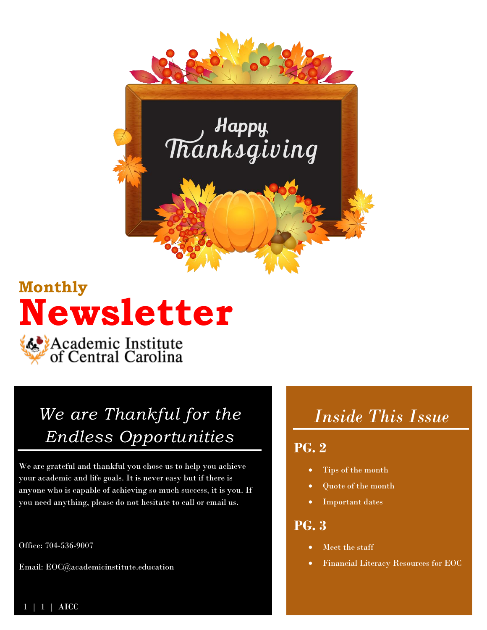

## **Monthly Newsletter**

Academic Institute<br>of Central Carolina

## *We are Thankful for the Endless Opportunities*

We are grateful and thankful you chose us to help you achieve your academic and life goals. It is never easy but if there is anyone who is capable of achieving so much success, it is you. If you need anything, please do not hesitate to call or email us.

Office: 704-536-9007

Email: EOC@academicinstitute.education

### *Inside This Issue*

### **PG. 2**

- Tips of the month
- Quote of the month
- Important dates

### **PG. 3**

- Meet the staff
- Financial Literacy Resources for EOC

 $\bf AICC$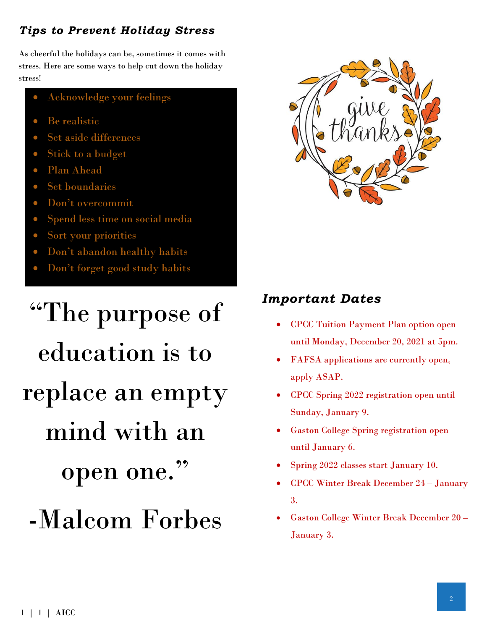### *Tips to Prevent Holiday Stress*

As cheerful the holidays can be, sometimes it comes with stress. Here are some ways to help cut down the holiday stress!

- Acknowledge your feelings
- Be realistic
- Set aside differences
- Stick to a budget
- Plan Ahead
- Set boundaries
- Don't overcommit
- Spend less time on social media
- Sort your priorities
- Don't abandon healthy habits
- Don't forget good study habits

# "The purpose of education is to replace an empty mind with an open one." -Malcom Forbes



### *Important Dates*

- CPCC Tuition Payment Plan option open until Monday, December 20, 2021 at 5pm.
- FAFSA applications are currently open, apply ASAP.
- CPCC Spring 2022 registration open until Sunday, January 9.
- Gaston College Spring registration open until January 6.
- Spring 2022 classes start January 10.
- CPCC Winter Break December 24 January 3.
- Gaston College Winter Break December 20 January 3.